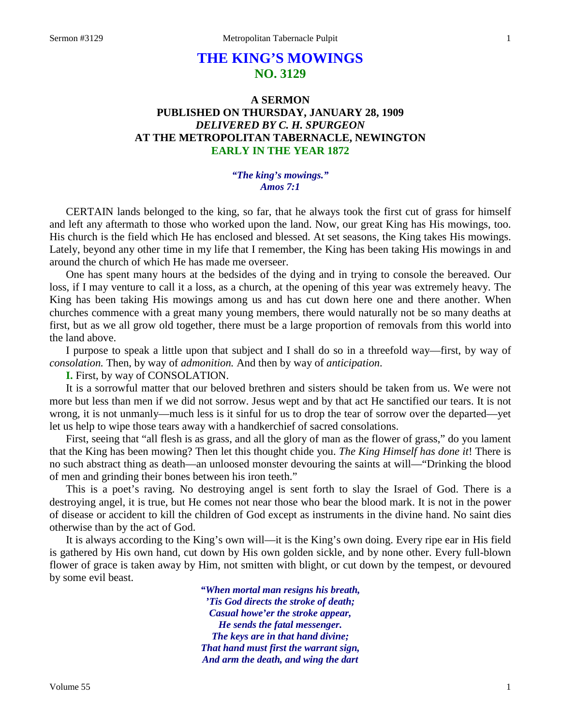# **THE KING'S MOWINGS NO. 3129**

## **A SERMON PUBLISHED ON THURSDAY, JANUARY 28, 1909** *DELIVERED BY C. H. SPURGEON* **AT THE METROPOLITAN TABERNACLE, NEWINGTON EARLY IN THE YEAR 1872**

#### *"The king's mowings." Amos 7:1*

CERTAIN lands belonged to the king, so far, that he always took the first cut of grass for himself and left any aftermath to those who worked upon the land. Now, our great King has His mowings, too. His church is the field which He has enclosed and blessed. At set seasons, the King takes His mowings. Lately, beyond any other time in my life that I remember, the King has been taking His mowings in and around the church of which He has made me overseer.

One has spent many hours at the bedsides of the dying and in trying to console the bereaved. Our loss, if I may venture to call it a loss, as a church, at the opening of this year was extremely heavy. The King has been taking His mowings among us and has cut down here one and there another. When churches commence with a great many young members, there would naturally not be so many deaths at first, but as we all grow old together, there must be a large proportion of removals from this world into the land above.

I purpose to speak a little upon that subject and I shall do so in a threefold way—first, by way of *consolation.* Then, by way of *admonition.* And then by way of *anticipation*.

### **I.** First, by way of CONSOLATION.

It is a sorrowful matter that our beloved brethren and sisters should be taken from us. We were not more but less than men if we did not sorrow. Jesus wept and by that act He sanctified our tears. It is not wrong, it is not unmanly—much less is it sinful for us to drop the tear of sorrow over the departed—yet let us help to wipe those tears away with a handkerchief of sacred consolations.

First, seeing that "all flesh is as grass, and all the glory of man as the flower of grass," do you lament that the King has been mowing? Then let this thought chide you. *The King Himself has done it*! There is no such abstract thing as death—an unloosed monster devouring the saints at will—"Drinking the blood of men and grinding their bones between his iron teeth."

This is a poet's raving. No destroying angel is sent forth to slay the Israel of God. There is a destroying angel, it is true, but He comes not near those who bear the blood mark. It is not in the power of disease or accident to kill the children of God except as instruments in the divine hand. No saint dies otherwise than by the act of God.

It is always according to the King's own will—it is the King's own doing. Every ripe ear in His field is gathered by His own hand, cut down by His own golden sickle, and by none other. Every full-blown flower of grace is taken away by Him, not smitten with blight, or cut down by the tempest, or devoured by some evil beast.

> *"When mortal man resigns his breath, 'Tis God directs the stroke of death; Casual howe'er the stroke appear, He sends the fatal messenger. The keys are in that hand divine; That hand must first the warrant sign, And arm the death, and wing the dart*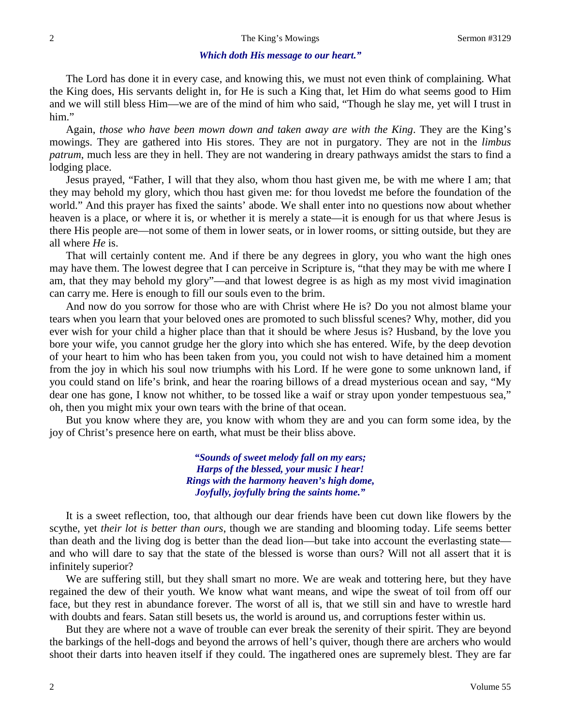#### *Which doth His message to our heart."*

The Lord has done it in every case, and knowing this, we must not even think of complaining. What the King does, His servants delight in, for He is such a King that, let Him do what seems good to Him and we will still bless Him—we are of the mind of him who said, "Though he slay me, yet will I trust in him."

Again, *those who have been mown down and taken away are with the King*. They are the King's mowings. They are gathered into His stores. They are not in purgatory. They are not in the *limbus patrum*, much less are they in hell. They are not wandering in dreary pathways amidst the stars to find a lodging place.

Jesus prayed, "Father, I will that they also, whom thou hast given me, be with me where I am; that they may behold my glory, which thou hast given me: for thou lovedst me before the foundation of the world." And this prayer has fixed the saints' abode. We shall enter into no questions now about whether heaven is a place, or where it is, or whether it is merely a state—it is enough for us that where Jesus is there His people are—not some of them in lower seats, or in lower rooms, or sitting outside, but they are all where *He* is.

That will certainly content me. And if there be any degrees in glory, you who want the high ones may have them. The lowest degree that I can perceive in Scripture is, "that they may be with me where I am, that they may behold my glory"—and that lowest degree is as high as my most vivid imagination can carry me. Here is enough to fill our souls even to the brim.

And now do you sorrow for those who are with Christ where He is? Do you not almost blame your tears when you learn that your beloved ones are promoted to such blissful scenes? Why, mother, did you ever wish for your child a higher place than that it should be where Jesus is? Husband, by the love you bore your wife, you cannot grudge her the glory into which she has entered. Wife, by the deep devotion of your heart to him who has been taken from you, you could not wish to have detained him a moment from the joy in which his soul now triumphs with his Lord. If he were gone to some unknown land, if you could stand on life's brink, and hear the roaring billows of a dread mysterious ocean and say, "My dear one has gone, I know not whither, to be tossed like a waif or stray upon yonder tempestuous sea," oh, then you might mix your own tears with the brine of that ocean.

But you know where they are, you know with whom they are and you can form some idea, by the joy of Christ's presence here on earth, what must be their bliss above.

> *"Sounds of sweet melody fall on my ears; Harps of the blessed, your music I hear! Rings with the harmony heaven's high dome, Joyfully, joyfully bring the saints home."*

It is a sweet reflection, too, that although our dear friends have been cut down like flowers by the scythe, yet *their lot is better than ours*, though we are standing and blooming today. Life seems better than death and the living dog is better than the dead lion—but take into account the everlasting state and who will dare to say that the state of the blessed is worse than ours? Will not all assert that it is infinitely superior?

We are suffering still, but they shall smart no more. We are weak and tottering here, but they have regained the dew of their youth. We know what want means, and wipe the sweat of toil from off our face, but they rest in abundance forever. The worst of all is, that we still sin and have to wrestle hard with doubts and fears. Satan still besets us, the world is around us, and corruptions fester within us.

But they are where not a wave of trouble can ever break the serenity of their spirit. They are beyond the barkings of the hell-dogs and beyond the arrows of hell's quiver, though there are archers who would shoot their darts into heaven itself if they could. The ingathered ones are supremely blest. They are far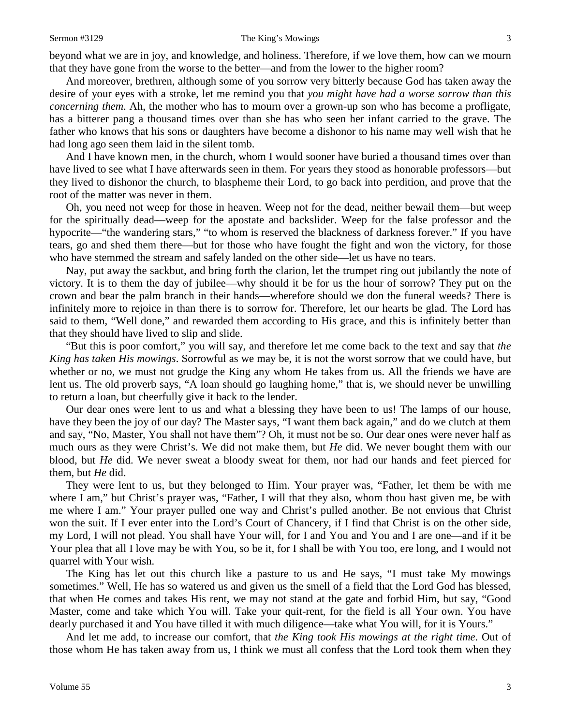beyond what we are in joy, and knowledge, and holiness. Therefore, if we love them, how can we mourn that they have gone from the worse to the better—and from the lower to the higher room?

And moreover, brethren, although some of you sorrow very bitterly because God has taken away the desire of your eyes with a stroke, let me remind you that *you might have had a worse sorrow than this concerning them*. Ah, the mother who has to mourn over a grown-up son who has become a profligate, has a bitterer pang a thousand times over than she has who seen her infant carried to the grave. The father who knows that his sons or daughters have become a dishonor to his name may well wish that he had long ago seen them laid in the silent tomb.

And I have known men, in the church, whom I would sooner have buried a thousand times over than have lived to see what I have afterwards seen in them. For years they stood as honorable professors—but they lived to dishonor the church, to blaspheme their Lord, to go back into perdition, and prove that the root of the matter was never in them.

Oh, you need not weep for those in heaven. Weep not for the dead, neither bewail them—but weep for the spiritually dead—weep for the apostate and backslider. Weep for the false professor and the hypocrite—"the wandering stars," "to whom is reserved the blackness of darkness forever." If you have tears, go and shed them there—but for those who have fought the fight and won the victory, for those who have stemmed the stream and safely landed on the other side—let us have no tears.

Nay, put away the sackbut, and bring forth the clarion, let the trumpet ring out jubilantly the note of victory. It is to them the day of jubilee—why should it be for us the hour of sorrow? They put on the crown and bear the palm branch in their hands—wherefore should we don the funeral weeds? There is infinitely more to rejoice in than there is to sorrow for. Therefore, let our hearts be glad. The Lord has said to them, "Well done," and rewarded them according to His grace, and this is infinitely better than that they should have lived to slip and slide.

"But this is poor comfort," you will say, and therefore let me come back to the text and say that *the King has taken His mowings*. Sorrowful as we may be, it is not the worst sorrow that we could have, but whether or no, we must not grudge the King any whom He takes from us. All the friends we have are lent us. The old proverb says, "A loan should go laughing home," that is, we should never be unwilling to return a loan, but cheerfully give it back to the lender.

Our dear ones were lent to us and what a blessing they have been to us! The lamps of our house, have they been the joy of our day? The Master says, "I want them back again," and do we clutch at them and say, "No, Master, You shall not have them"? Oh, it must not be so. Our dear ones were never half as much ours as they were Christ's. We did not make them, but *He* did. We never bought them with our blood, but *He* did. We never sweat a bloody sweat for them, nor had our hands and feet pierced for them, but *He* did.

They were lent to us, but they belonged to Him. Your prayer was, "Father, let them be with me where I am," but Christ's prayer was, "Father, I will that they also, whom thou hast given me, be with me where I am." Your prayer pulled one way and Christ's pulled another. Be not envious that Christ won the suit. If I ever enter into the Lord's Court of Chancery, if I find that Christ is on the other side, my Lord, I will not plead. You shall have Your will, for I and You and You and I are one—and if it be Your plea that all I love may be with You, so be it, for I shall be with You too, ere long, and I would not quarrel with Your wish.

The King has let out this church like a pasture to us and He says, "I must take My mowings sometimes." Well, He has so watered us and given us the smell of a field that the Lord God has blessed, that when He comes and takes His rent, we may not stand at the gate and forbid Him, but say, "Good Master, come and take which You will. Take your quit-rent, for the field is all Your own. You have dearly purchased it and You have tilled it with much diligence—take what You will, for it is Yours."

And let me add, to increase our comfort, that *the King took His mowings at the right time*. Out of those whom He has taken away from us, I think we must all confess that the Lord took them when they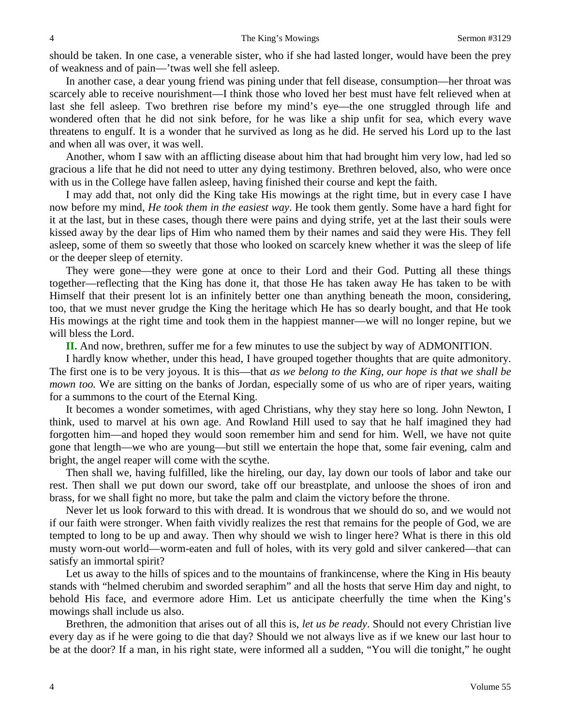should be taken. In one case, a venerable sister, who if she had lasted longer, would have been the prey of weakness and of pain—'twas well she fell asleep.

In another case, a dear young friend was pining under that fell disease, consumption—her throat was scarcely able to receive nourishment—I think those who loved her best must have felt relieved when at last she fell asleep. Two brethren rise before my mind's eye—the one struggled through life and wondered often that he did not sink before, for he was like a ship unfit for sea, which every wave threatens to engulf. It is a wonder that he survived as long as he did. He served his Lord up to the last and when all was over, it was well.

Another, whom I saw with an afflicting disease about him that had brought him very low, had led so gracious a life that he did not need to utter any dying testimony. Brethren beloved, also, who were once with us in the College have fallen asleep, having finished their course and kept the faith.

I may add that, not only did the King take His mowings at the right time, but in every case I have now before my mind, *He took them in the easiest way*. He took them gently. Some have a hard fight for it at the last, but in these cases, though there were pains and dying strife, yet at the last their souls were kissed away by the dear lips of Him who named them by their names and said they were His. They fell asleep, some of them so sweetly that those who looked on scarcely knew whether it was the sleep of life or the deeper sleep of eternity.

They were gone—they were gone at once to their Lord and their God. Putting all these things together—reflecting that the King has done it, that those He has taken away He has taken to be with Himself that their present lot is an infinitely better one than anything beneath the moon, considering, too, that we must never grudge the King the heritage which He has so dearly bought, and that He took His mowings at the right time and took them in the happiest manner—we will no longer repine, but we will bless the Lord.

**II.** And now, brethren, suffer me for a few minutes to use the subject by way of ADMONITION.

I hardly know whether, under this head, I have grouped together thoughts that are quite admonitory. The first one is to be very joyous. It is this—that *as we belong to the King, our hope is that we shall be mown too.* We are sitting on the banks of Jordan, especially some of us who are of riper years, waiting for a summons to the court of the Eternal King.

It becomes a wonder sometimes, with aged Christians, why they stay here so long. John Newton, I think, used to marvel at his own age. And Rowland Hill used to say that he half imagined they had forgotten him—and hoped they would soon remember him and send for him. Well, we have not quite gone that length—we who are young—but still we entertain the hope that, some fair evening, calm and bright, the angel reaper will come with the scythe.

Then shall we, having fulfilled, like the hireling, our day, lay down our tools of labor and take our rest. Then shall we put down our sword, take off our breastplate, and unloose the shoes of iron and brass, for we shall fight no more, but take the palm and claim the victory before the throne.

Never let us look forward to this with dread. It is wondrous that we should do so, and we would not if our faith were stronger. When faith vividly realizes the rest that remains for the people of God, we are tempted to long to be up and away. Then why should we wish to linger here? What is there in this old musty worn-out world—worm-eaten and full of holes, with its very gold and silver cankered—that can satisfy an immortal spirit?

Let us away to the hills of spices and to the mountains of frankincense, where the King in His beauty stands with "helmed cherubim and sworded seraphim" and all the hosts that serve Him day and night, to behold His face, and evermore adore Him. Let us anticipate cheerfully the time when the King's mowings shall include us also.

Brethren, the admonition that arises out of all this is, *let us be ready*. Should not every Christian live every day as if he were going to die that day? Should we not always live as if we knew our last hour to be at the door? If a man, in his right state, were informed all a sudden, "You will die tonight," he ought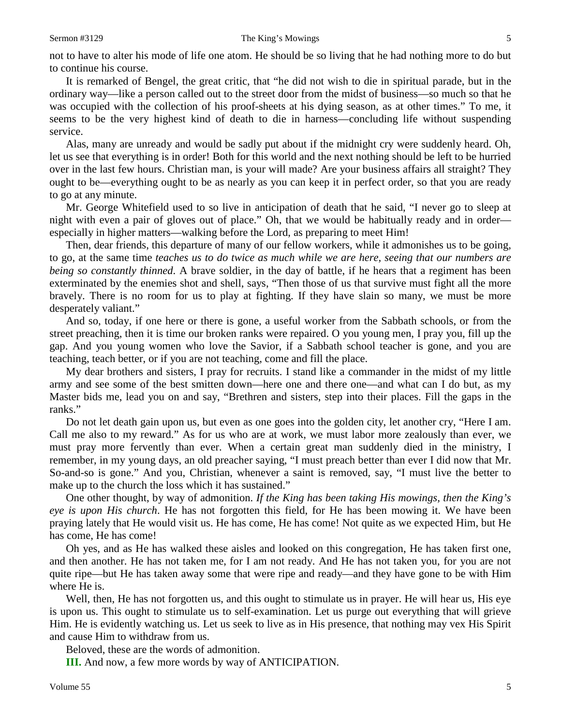not to have to alter his mode of life one atom. He should be so living that he had nothing more to do but to continue his course.

It is remarked of Bengel, the great critic, that "he did not wish to die in spiritual parade, but in the ordinary way—like a person called out to the street door from the midst of business—so much so that he was occupied with the collection of his proof-sheets at his dying season, as at other times." To me, it seems to be the very highest kind of death to die in harness—concluding life without suspending service.

Alas, many are unready and would be sadly put about if the midnight cry were suddenly heard. Oh, let us see that everything is in order! Both for this world and the next nothing should be left to be hurried over in the last few hours. Christian man, is your will made? Are your business affairs all straight? They ought to be—everything ought to be as nearly as you can keep it in perfect order, so that you are ready to go at any minute.

Mr. George Whitefield used to so live in anticipation of death that he said, "I never go to sleep at night with even a pair of gloves out of place." Oh, that we would be habitually ready and in order especially in higher matters—walking before the Lord, as preparing to meet Him!

Then, dear friends, this departure of many of our fellow workers, while it admonishes us to be going, to go, at the same time *teaches us to do twice as much while we are here, seeing that our numbers are being so constantly thinned*. A brave soldier, in the day of battle, if he hears that a regiment has been exterminated by the enemies shot and shell, says, "Then those of us that survive must fight all the more bravely. There is no room for us to play at fighting. If they have slain so many, we must be more desperately valiant."

And so, today, if one here or there is gone, a useful worker from the Sabbath schools, or from the street preaching, then it is time our broken ranks were repaired. O you young men, I pray you, fill up the gap. And you young women who love the Savior, if a Sabbath school teacher is gone, and you are teaching, teach better, or if you are not teaching, come and fill the place.

My dear brothers and sisters, I pray for recruits. I stand like a commander in the midst of my little army and see some of the best smitten down—here one and there one—and what can I do but, as my Master bids me, lead you on and say, "Brethren and sisters, step into their places. Fill the gaps in the ranks."

Do not let death gain upon us, but even as one goes into the golden city, let another cry, "Here I am. Call me also to my reward." As for us who are at work, we must labor more zealously than ever, we must pray more fervently than ever. When a certain great man suddenly died in the ministry, I remember, in my young days, an old preacher saying, "I must preach better than ever I did now that Mr. So-and-so is gone." And you, Christian, whenever a saint is removed, say, "I must live the better to make up to the church the loss which it has sustained."

One other thought, by way of admonition. *If the King has been taking His mowings, then the King's eye is upon His church*. He has not forgotten this field, for He has been mowing it. We have been praying lately that He would visit us. He has come, He has come! Not quite as we expected Him, but He has come, He has come!

Oh yes, and as He has walked these aisles and looked on this congregation, He has taken first one, and then another. He has not taken me, for I am not ready. And He has not taken you, for you are not quite ripe—but He has taken away some that were ripe and ready—and they have gone to be with Him where He is.

Well, then, He has not forgotten us, and this ought to stimulate us in prayer. He will hear us, His eye is upon us. This ought to stimulate us to self-examination. Let us purge out everything that will grieve Him. He is evidently watching us. Let us seek to live as in His presence, that nothing may vex His Spirit and cause Him to withdraw from us.

Beloved, these are the words of admonition.

**III.** And now, a few more words by way of ANTICIPATION.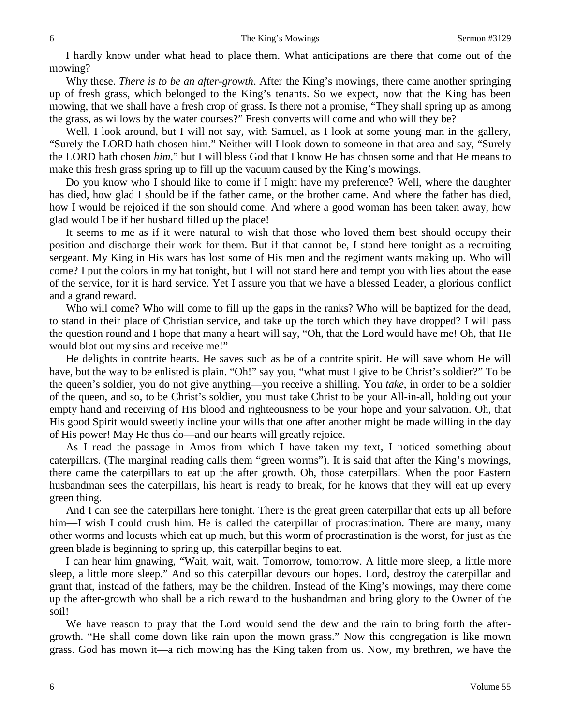I hardly know under what head to place them. What anticipations are there that come out of the mowing?

Why these. *There is to be an after-growth*. After the King's mowings, there came another springing up of fresh grass, which belonged to the King's tenants. So we expect, now that the King has been mowing, that we shall have a fresh crop of grass. Is there not a promise, "They shall spring up as among the grass, as willows by the water courses?" Fresh converts will come and who will they be?

Well, I look around, but I will not say, with Samuel, as I look at some young man in the gallery, "Surely the LORD hath chosen him." Neither will I look down to someone in that area and say, "Surely the LORD hath chosen *him*," but I will bless God that I know He has chosen some and that He means to make this fresh grass spring up to fill up the vacuum caused by the King's mowings.

Do you know who I should like to come if I might have my preference? Well, where the daughter has died, how glad I should be if the father came, or the brother came. And where the father has died, how I would be rejoiced if the son should come. And where a good woman has been taken away, how glad would I be if her husband filled up the place!

It seems to me as if it were natural to wish that those who loved them best should occupy their position and discharge their work for them. But if that cannot be, I stand here tonight as a recruiting sergeant. My King in His wars has lost some of His men and the regiment wants making up. Who will come? I put the colors in my hat tonight, but I will not stand here and tempt you with lies about the ease of the service, for it is hard service. Yet I assure you that we have a blessed Leader, a glorious conflict and a grand reward.

Who will come? Who will come to fill up the gaps in the ranks? Who will be baptized for the dead, to stand in their place of Christian service, and take up the torch which they have dropped? I will pass the question round and I hope that many a heart will say, "Oh, that the Lord would have me! Oh, that He would blot out my sins and receive me!"

He delights in contrite hearts. He saves such as be of a contrite spirit. He will save whom He will have, but the way to be enlisted is plain. "Oh!" say you, "what must I give to be Christ's soldier?" To be the queen's soldier, you do not give anything—you receive a shilling. You *take*, in order to be a soldier of the queen, and so, to be Christ's soldier, you must take Christ to be your All-in-all, holding out your empty hand and receiving of His blood and righteousness to be your hope and your salvation. Oh, that His good Spirit would sweetly incline your wills that one after another might be made willing in the day of His power! May He thus do—and our hearts will greatly rejoice.

As I read the passage in Amos from which I have taken my text, I noticed something about caterpillars. (The marginal reading calls them "green worms"). It is said that after the King's mowings, there came the caterpillars to eat up the after growth. Oh, those caterpillars! When the poor Eastern husbandman sees the caterpillars, his heart is ready to break, for he knows that they will eat up every green thing.

And I can see the caterpillars here tonight. There is the great green caterpillar that eats up all before him—I wish I could crush him. He is called the caterpillar of procrastination. There are many, many other worms and locusts which eat up much, but this worm of procrastination is the worst, for just as the green blade is beginning to spring up, this caterpillar begins to eat.

I can hear him gnawing, "Wait, wait, wait. Tomorrow, tomorrow. A little more sleep, a little more sleep, a little more sleep." And so this caterpillar devours our hopes. Lord, destroy the caterpillar and grant that, instead of the fathers, may be the children. Instead of the King's mowings, may there come up the after-growth who shall be a rich reward to the husbandman and bring glory to the Owner of the soil!

We have reason to pray that the Lord would send the dew and the rain to bring forth the aftergrowth. "He shall come down like rain upon the mown grass." Now this congregation is like mown grass. God has mown it—a rich mowing has the King taken from us. Now, my brethren, we have the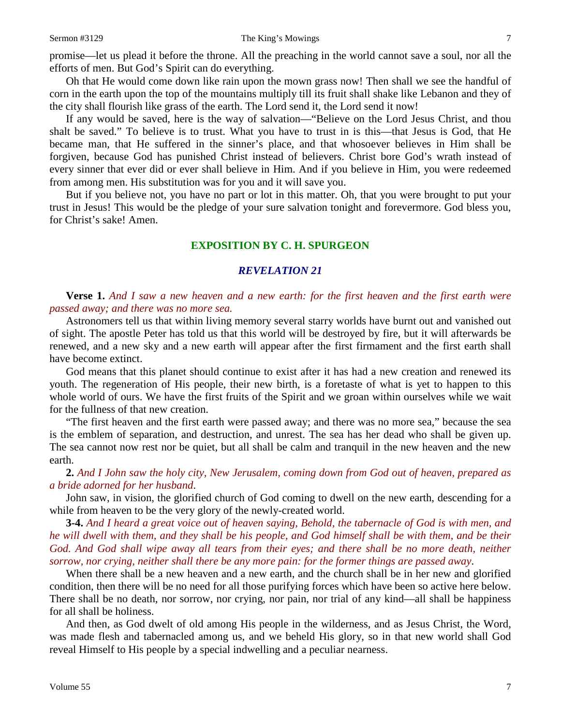Oh that He would come down like rain upon the mown grass now! Then shall we see the handful of corn in the earth upon the top of the mountains multiply till its fruit shall shake like Lebanon and they of the city shall flourish like grass of the earth. The Lord send it, the Lord send it now!

If any would be saved, here is the way of salvation—"Believe on the Lord Jesus Christ, and thou shalt be saved." To believe is to trust. What you have to trust in is this—that Jesus is God, that He became man, that He suffered in the sinner's place, and that whosoever believes in Him shall be forgiven, because God has punished Christ instead of believers. Christ bore God's wrath instead of every sinner that ever did or ever shall believe in Him. And if you believe in Him, you were redeemed from among men. His substitution was for you and it will save you.

But if you believe not, you have no part or lot in this matter. Oh, that you were brought to put your trust in Jesus! This would be the pledge of your sure salvation tonight and forevermore. God bless you, for Christ's sake! Amen.

### **EXPOSITION BY C. H. SPURGEON**

### *REVELATION 21*

**Verse 1.** *And I saw a new heaven and a new earth: for the first heaven and the first earth were passed away; and there was no more sea.* 

Astronomers tell us that within living memory several starry worlds have burnt out and vanished out of sight. The apostle Peter has told us that this world will be destroyed by fire, but it will afterwards be renewed, and a new sky and a new earth will appear after the first firmament and the first earth shall have become extinct.

God means that this planet should continue to exist after it has had a new creation and renewed its youth. The regeneration of His people, their new birth, is a foretaste of what is yet to happen to this whole world of ours. We have the first fruits of the Spirit and we groan within ourselves while we wait for the fullness of that new creation.

"The first heaven and the first earth were passed away; and there was no more sea," because the sea is the emblem of separation, and destruction, and unrest. The sea has her dead who shall be given up. The sea cannot now rest nor be quiet, but all shall be calm and tranquil in the new heaven and the new earth.

**2.** *And I John saw the holy city, New Jerusalem, coming down from God out of heaven, prepared as a bride adorned for her husband*.

John saw, in vision, the glorified church of God coming to dwell on the new earth, descending for a while from heaven to be the very glory of the newly-created world.

**3-4.** *And I heard a great voice out of heaven saying, Behold, the tabernacle of God is with men, and he will dwell with them, and they shall be his people, and God himself shall be with them, and be their*  God. And God shall wipe away all tears from their eyes; and there shall be no more death, neither *sorrow, nor crying, neither shall there be any more pain: for the former things are passed away*.

When there shall be a new heaven and a new earth, and the church shall be in her new and glorified condition, then there will be no need for all those purifying forces which have been so active here below. There shall be no death, nor sorrow, nor crying, nor pain, nor trial of any kind—all shall be happiness for all shall be holiness.

And then, as God dwelt of old among His people in the wilderness, and as Jesus Christ, the Word, was made flesh and tabernacled among us, and we beheld His glory, so in that new world shall God reveal Himself to His people by a special indwelling and a peculiar nearness.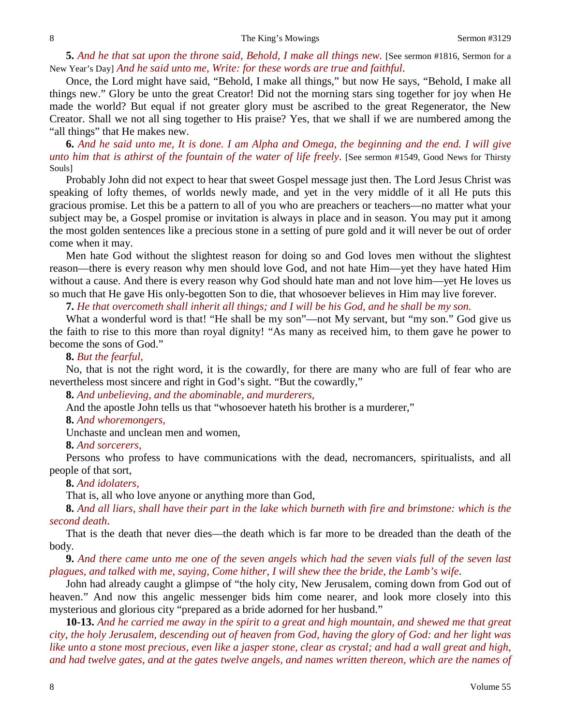**5.** *And he that sat upon the throne said, Behold, I make all things new.* [See sermon #1816, Sermon for a New Year's Day] *And he said unto me, Write: for these words are true and faithful*.

Once, the Lord might have said, "Behold, I make all things," but now He says, "Behold, I make all things new." Glory be unto the great Creator! Did not the morning stars sing together for joy when He made the world? But equal if not greater glory must be ascribed to the great Regenerator, the New Creator. Shall we not all sing together to His praise? Yes, that we shall if we are numbered among the "all things" that He makes new.

**6.** *And he said unto me, It is done. I am Alpha and Omega, the beginning and the end. I will give unto him that is athirst of the fountain of the water of life freely*. [See sermon #1549, Good News for Thirsty Souls]

Probably John did not expect to hear that sweet Gospel message just then. The Lord Jesus Christ was speaking of lofty themes, of worlds newly made, and yet in the very middle of it all He puts this gracious promise. Let this be a pattern to all of you who are preachers or teachers—no matter what your subject may be, a Gospel promise or invitation is always in place and in season. You may put it among the most golden sentences like a precious stone in a setting of pure gold and it will never be out of order come when it may.

Men hate God without the slightest reason for doing so and God loves men without the slightest reason—there is every reason why men should love God, and not hate Him—yet they have hated Him without a cause. And there is every reason why God should hate man and not love him—yet He loves us so much that He gave His only-begotten Son to die, that whosoever believes in Him may live forever.

### **7.** *He that overcometh shall inherit all things; and I will be his God, and he shall be my son.*

What a wonderful word is that! "He shall be my son"—not My servant, but "my son." God give us the faith to rise to this more than royal dignity! "As many as received him, to them gave he power to become the sons of God."

### **8.** *But the fearful,*

No, that is not the right word, it is the cowardly, for there are many who are full of fear who are nevertheless most sincere and right in God's sight. "But the cowardly,"

**8.** *And unbelieving, and the abominable, and murderers,*

And the apostle John tells us that "whosoever hateth his brother is a murderer,"

#### **8.** *And whoremongers,*

Unchaste and unclean men and women,

#### **8.** *And sorcerers,*

Persons who profess to have communications with the dead, necromancers, spiritualists, and all people of that sort,

### **8.** *And idolaters,*

That is, all who love anyone or anything more than God,

**8.** *And all liars, shall have their part in the lake which burneth with fire and brimstone: which is the second death*.

That is the death that never dies—the death which is far more to be dreaded than the death of the body.

**9.** *And there came unto me one of the seven angels which had the seven vials full of the seven last plagues, and talked with me, saying, Come hither, I will shew thee the bride, the Lamb's wife*.

John had already caught a glimpse of "the holy city, New Jerusalem, coming down from God out of heaven." And now this angelic messenger bids him come nearer, and look more closely into this mysterious and glorious city "prepared as a bride adorned for her husband."

**10-13.** *And he carried me away in the spirit to a great and high mountain, and shewed me that great city, the holy Jerusalem, descending out of heaven from God, having the glory of God: and her light was like unto a stone most precious, even like a jasper stone, clear as crystal; and had a wall great and high, and had twelve gates, and at the gates twelve angels, and names written thereon, which are the names of*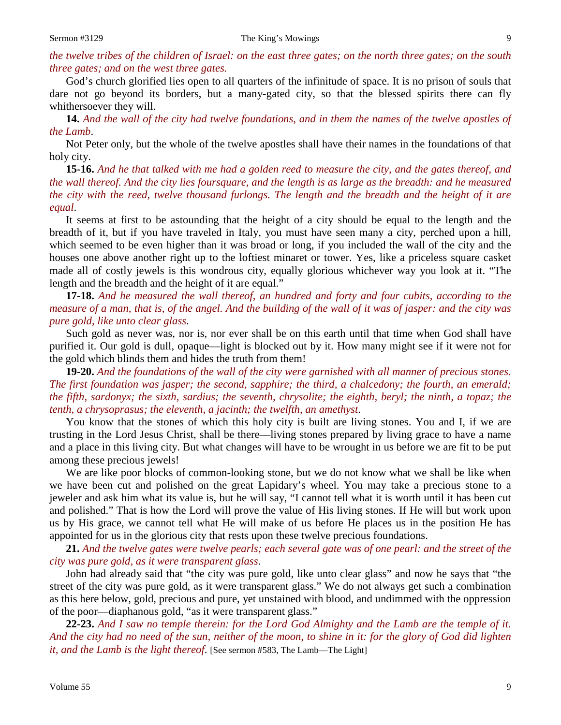## *the twelve tribes of the children of Israel: on the east three gates; on the north three gates; on the south three gates; and on the west three gates.*

God's church glorified lies open to all quarters of the infinitude of space. It is no prison of souls that dare not go beyond its borders, but a many-gated city, so that the blessed spirits there can fly whithersoever they will.

**14.** *And the wall of the city had twelve foundations, and in them the names of the twelve apostles of the Lamb*.

Not Peter only, but the whole of the twelve apostles shall have their names in the foundations of that holy city.

**15-16.** *And he that talked with me had a golden reed to measure the city, and the gates thereof, and the wall thereof. And the city lies foursquare, and the length is as large as the breadth: and he measured the city with the reed, twelve thousand furlongs. The length and the breadth and the height of it are equal*.

It seems at first to be astounding that the height of a city should be equal to the length and the breadth of it, but if you have traveled in Italy, you must have seen many a city, perched upon a hill, which seemed to be even higher than it was broad or long, if you included the wall of the city and the houses one above another right up to the loftiest minaret or tower. Yes, like a priceless square casket made all of costly jewels is this wondrous city, equally glorious whichever way you look at it. "The length and the breadth and the height of it are equal."

**17-18.** *And he measured the wall thereof, an hundred and forty and four cubits, according to the measure of a man, that is, of the angel. And the building of the wall of it was of jasper: and the city was pure gold, like unto clear glass*.

Such gold as never was, nor is, nor ever shall be on this earth until that time when God shall have purified it. Our gold is dull, opaque—light is blocked out by it. How many might see if it were not for the gold which blinds them and hides the truth from them!

**19-20.** *And the foundations of the wall of the city were garnished with all manner of precious stones. The first foundation was jasper; the second, sapphire; the third, a chalcedony; the fourth, an emerald; the fifth, sardonyx; the sixth, sardius; the seventh, chrysolite; the eighth, beryl; the ninth, a topaz; the tenth, a chrysoprasus; the eleventh, a jacinth; the twelfth, an amethyst*.

You know that the stones of which this holy city is built are living stones. You and I, if we are trusting in the Lord Jesus Christ, shall be there—living stones prepared by living grace to have a name and a place in this living city. But what changes will have to be wrought in us before we are fit to be put among these precious jewels!

We are like poor blocks of common-looking stone, but we do not know what we shall be like when we have been cut and polished on the great Lapidary's wheel. You may take a precious stone to a jeweler and ask him what its value is, but he will say, "I cannot tell what it is worth until it has been cut and polished." That is how the Lord will prove the value of His living stones. If He will but work upon us by His grace, we cannot tell what He will make of us before He places us in the position He has appointed for us in the glorious city that rests upon these twelve precious foundations.

**21.** *And the twelve gates were twelve pearls; each several gate was of one pearl: and the street of the city was pure gold, as it were transparent glass*.

John had already said that "the city was pure gold, like unto clear glass" and now he says that "the street of the city was pure gold, as it were transparent glass." We do not always get such a combination as this here below, gold, precious and pure, yet unstained with blood, and undimmed with the oppression of the poor—diaphanous gold, "as it were transparent glass."

**22-23.** *And I saw no temple therein: for the Lord God Almighty and the Lamb are the temple of it. And the city had no need of the sun, neither of the moon, to shine in it: for the glory of God did lighten it, and the Lamb is the light thereof*. [See sermon #583, The Lamb—The Light]